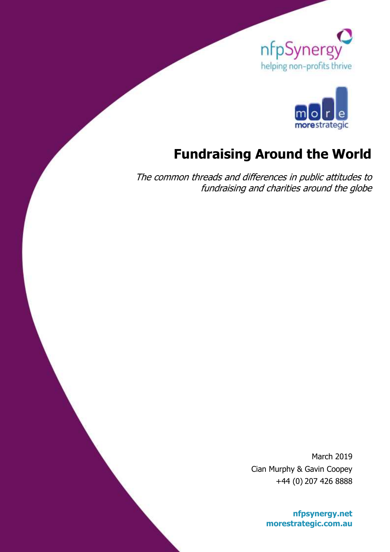



# **Fundraising Around the World**

The common threads and differences in public attitudes to fundraising and charities around the globe

> March 2019 Cian Murphy & Gavin Coopey +44 (0) 207 426 8888

> > **[nfpsynergy.net](http://www.nfpsynergy.net/) morestrategic.com.au**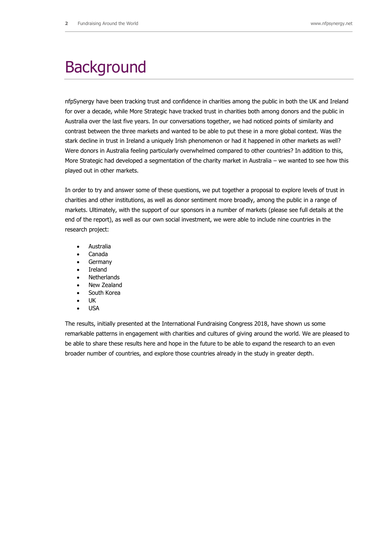# **Background**

nfpSynergy have been tracking trust and confidence in charities among the public in both the UK and Ireland for over a decade, while More Strategic have tracked trust in charities both among donors and the public in Australia over the last five years. In our conversations together, we had noticed points of similarity and contrast between the three markets and wanted to be able to put these in a more global context. Was the stark decline in trust in Ireland a uniquely Irish phenomenon or had it happened in other markets as well? Were donors in Australia feeling particularly overwhelmed compared to other countries? In addition to this, More Strategic had developed a segmentation of the charity market in Australia – we wanted to see how this played out in other markets.

In order to try and answer some of these questions, we put together a proposal to explore levels of trust in charities and other institutions, as well as donor sentiment more broadly, among the public in a range of markets. Ultimately, with the support of our sponsors in a number of markets (please see full details at the end of the report), as well as our own social investment, we were able to include nine countries in the research project:

- Australia
- Canada
- Germany
- Ireland
- Netherlands
- New Zealand
- South Korea
- UK
- USA

The results, initially presented at the International Fundraising Congress 2018, have shown us some remarkable patterns in engagement with charities and cultures of giving around the world. We are pleased to be able to share these results here and hope in the future to be able to expand the research to an even broader number of countries, and explore those countries already in the study in greater depth.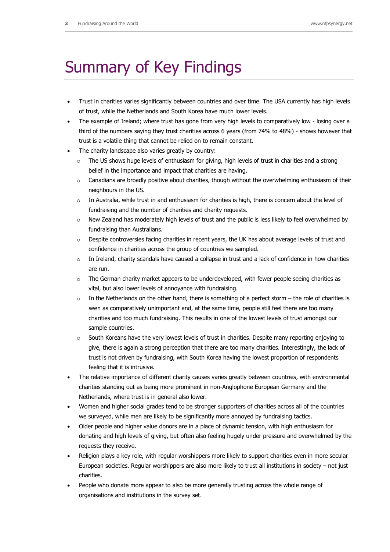# Summary of Key Findings

- Trust in charities varies significantly between countries and over time. The USA currently has high levels of trust, while the Netherlands and South Korea have much lower levels.
- The example of Ireland; where trust has gone from very high levels to comparatively low losing over a third of the numbers saying they trust charities across 6 years (from 74% to 48%) - shows however that trust is a volatile thing that cannot be relied on to remain constant.
- The charity landscape also varies greatly by country:
	- o The US shows huge levels of enthusiasm for giving, high levels of trust in charities and a strong belief in the importance and impact that charities are having.
	- $\circ$  Canadians are broadly positive about charities, though without the overwhelming enthusiasm of their neighbours in the US.
	- $\circ$  In Australia, while trust in and enthusiasm for charities is high, there is concern about the level of fundraising and the number of charities and charity requests.
	- o New Zealand has moderately high levels of trust and the public is less likely to feel overwhelmed by fundraising than Australians.
	- $\circ$  Despite controversies facing charities in recent years, the UK has about average levels of trust and confidence in charities across the group of countries we sampled.
	- $\circ$  In Ireland, charity scandals have caused a collapse in trust and a lack of confidence in how charities are run.
	- $\circ$  The German charity market appears to be underdeveloped, with fewer people seeing charities as vital, but also lower levels of annoyance with fundraising.
	- $\circ$  In the Netherlands on the other hand, there is something of a perfect storm the role of charities is seen as comparatively unimportant and, at the same time, people still feel there are too many charities and too much fundraising. This results in one of the lowest levels of trust amongst our sample countries.
	- $\circ$  South Koreans have the very lowest levels of trust in charities. Despite many reporting enjoying to give, there is again a strong perception that there are too many charities. Interestingly, the lack of trust is not driven by fundraising, with South Korea having the lowest proportion of respondents feeling that it is intrusive.
- The relative importance of different charity causes varies greatly between countries, with environmental charities standing out as being more prominent in non-Anglophone European Germany and the Netherlands, where trust is in general also lower.
- Women and higher social grades tend to be stronger supporters of charities across all of the countries we surveyed, while men are likely to be significantly more annoyed by fundraising tactics.
- Older people and higher value donors are in a place of dynamic tension, with high enthusiasm for donating and high levels of giving, but often also feeling hugely under pressure and overwhelmed by the requests they receive.
- Religion plays a key role, with regular worshippers more likely to support charities even in more secular European societies. Regular worshippers are also more likely to trust all institutions in society – not just charities.
- People who donate more appear to also be more generally trusting across the whole range of organisations and institutions in the survey set.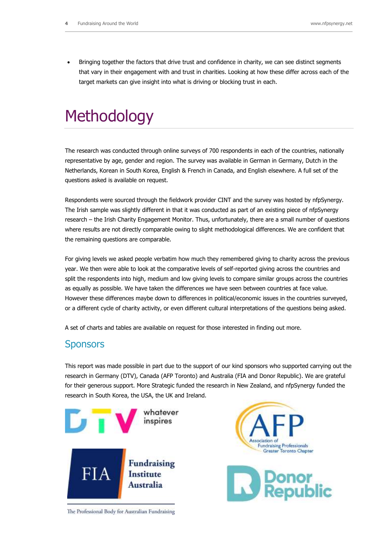Bringing together the factors that drive trust and confidence in charity, we can see distinct segments that vary in their engagement with and trust in charities. Looking at how these differ across each of the target markets can give insight into what is driving or blocking trust in each.

# **Methodology**

The research was conducted through online surveys of 700 respondents in each of the countries, nationally representative by age, gender and region. The survey was available in German in Germany, Dutch in the Netherlands, Korean in South Korea, English & French in Canada, and English elsewhere. A full set of the questions asked is available on request.

Respondents were sourced through the fieldwork provider CINT and the survey was hosted by nfpSynergy. The Irish sample was slightly different in that it was conducted as part of an existing piece of nfpSynergy research – the Irish Charity Engagement Monitor. Thus, unfortunately, there are a small number of questions where results are not directly comparable owing to slight methodological differences. We are confident that the remaining questions are comparable.

For giving levels we asked people verbatim how much they remembered giving to charity across the previous year. We then were able to look at the comparative levels of self-reported giving across the countries and split the respondents into high, medium and low giving levels to compare similar groups across the countries as equally as possible. We have taken the differences we have seen between countries at face value. However these differences maybe down to differences in political/economic issues in the countries surveyed, or a different cycle of charity activity, or even different cultural interpretations of the questions being asked.

A set of charts and tables are available on request for those interested in finding out more.

## **Sponsors**

This report was made possible in part due to the support of our kind sponsors who supported carrying out the research in Germany (DTV), Canada (AFP Toronto) and Australia (FIA and Donor Republic). We are grateful for their generous support. More Strategic funded the research in New Zealand, and nfpSynergy funded the research in South Korea, the USA, the UK and Ireland.



Association of **Fundraising Professionals** Greater Toronto Chapter Donor<br>Republic

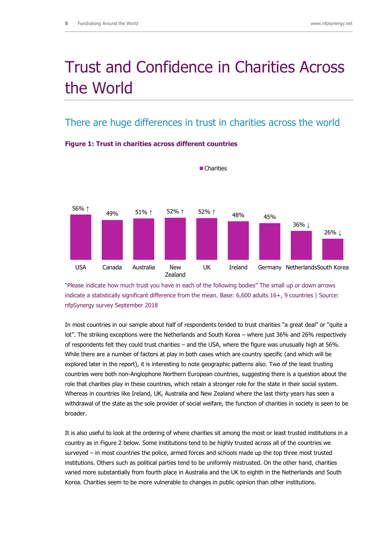# Trust and Confidence in Charities Across the World

## There are huge differences in trust in charities across the world



**Charities** 

**Figure 1: Trust in charities across different countries** 

"Please indicate how much trust you have in each of the following bodies" The small up or down arrows indicate a statistically significant difference from the mean. Base: 6,600 adults 16+, 9 countries | Source: nfpSynergy survey September 2018

In most countries in our sample about half of respondents tended to trust charities "a great deal" or "quite a lot". The striking exceptions were the Netherlands and South Korea – where just 36% and 26% respectively of respondents felt they could trust charities – and the USA, where the figure was unusually high at 56%. While there are a number of factors at play in both cases which are country specific (and which will be explored later in the report), it is interesting to note geographic patterns also. Two of the least trusting countries were both non-Anglophone Northern European countries, suggesting there is a question about the role that charities play in these countries, which retain a stronger role for the state in their social system. Whereas in countries like Ireland, UK, Australia and New Zealand where the last thirty years has seen a withdrawal of the state as the sole provider of social welfare, the function of charities in society is seen to be broader.

It is also useful to look at the ordering of where charities sit among the most or least trusted institutions in a country as in Figure 2 below. Some institutions tend to be highly trusted across all of the countries we surveyed – in most countries the police, armed forces and schools made up the top three most trusted institutions. Others such as political parties tend to be uniformly mistrusted. On the other hand, charities varied more substantially from fourth place in Australia and the UK to eighth in the Netherlands and South Korea. Charities seem to be more vulnerable to changes in public opinion than other institutions.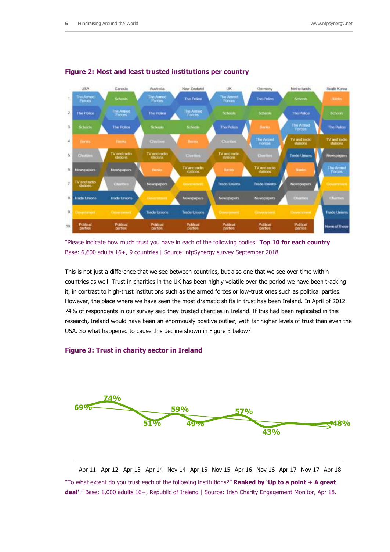

#### **Figure 2: Most and least trusted institutions per country**

"Please indicate how much trust you have in each of the following bodies" **Top 10 for each country** Base: 6,600 adults 16+, 9 countries | Source: nfpSynergy survey September 2018

This is not just a difference that we see between countries, but also one that we see over time within countries as well. Trust in charities in the UK has been highly volatile over the period we have been tracking it, in contrast to high-trust institutions such as the armed forces or low-trust ones such as political parties. However, the place where we have seen the most dramatic shifts in trust has been Ireland. In April of 2012 74% of respondents in our survey said they trusted charities in Ireland. If this had been replicated in this research, Ireland would have been an enormously positive outlier, with far higher levels of trust than even the USA. So what happened to cause this decline shown in Figure 3 below?

#### **Figure 3: Trust in charity sector in Ireland**



Apr 11 Apr 12 Apr 13 Apr 14 Nov 14 Apr 15 Nov 15 Apr 16 Nov 16 Apr 17 Nov 17 Apr 18

"To what extent do you trust each of the following institutions?" **Ranked by 'Up to a point + A great deal'**." Base: 1,000 adults 16+, Republic of Ireland | Source: Irish Charity Engagement Monitor, Apr 18.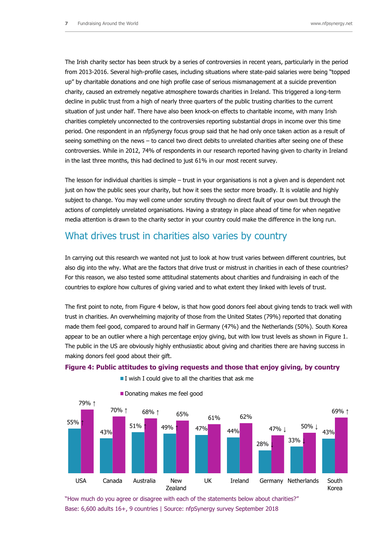43%

69% ↑

 $47\%$   $\downarrow$  50% ↓

The Irish charity sector has been struck by a series of controversies in recent years, particularly in the period from 2013-2016. Several high-profile cases, including situations where state-paid salaries were being "topped up" by charitable donations and one high profile case of serious mismanagement at a suicide prevention charity, caused an extremely negative atmosphere towards charities in Ireland. This triggered a long-term decline in public trust from a high of nearly three quarters of the public trusting charities to the current situation of just under half. There have also been knock-on effects to charitable income, with many Irish charities completely unconnected to the controversies reporting substantial drops in income over this time period. One respondent in an nfpSynergy focus group said that he had only once taken action as a result of seeing something on the news – to cancel two direct debits to unrelated charities after seeing one of these controversies. While in 2012, 74% of respondents in our research reported having given to charity in Ireland in the last three months, this had declined to just 61% in our most recent survey.

The lesson for individual charities is simple – trust in your organisations is not a given and is dependent not just on how the public sees your charity, but how it sees the sector more broadly. It is volatile and highly subject to change. You may well come under scrutiny through no direct fault of your own but through the actions of completely unrelated organisations. Having a strategy in place ahead of time for when negative media attention is drawn to the charity sector in your country could make the difference in the long run.

## What drives trust in charities also varies by country

In carrying out this research we wanted not just to look at how trust varies between different countries, but also dig into the why. What are the factors that drive trust or mistrust in charities in each of these countries? For this reason, we also tested some attitudinal statements about charities and fundraising in each of the countries to explore how cultures of giving varied and to what extent they linked with levels of trust.

The first point to note, from Figure 4 below, is that how good donors feel about giving tends to track well with trust in charities. An overwhelming majority of those from the United States (79%) reported that donating made them feel good, compared to around half in Germany (47%) and the Netherlands (50%). South Korea appear to be an outlier where a high percentage enjoy giving, but with low trust levels as shown in Figure 1. The public in the US are obviously highly enthusiastic about giving and charities there are having success in making donors feel good about their gift.



**Figure 4: Public attitudes to giving requests and those that enjoy giving, by country** 



55% ↑

79% ↑

43%



"How much do you agree or disagree with each of the statements below about charities?" Base: 6,600 adults 16+, 9 countries | Source: nfpSynergy survey September 2018

 $51\%$  ↑  $49\%$  ↑  $47\%$   $44\%$ 

 $70\%$  ↑ 68% ↑ 65% 61% 62%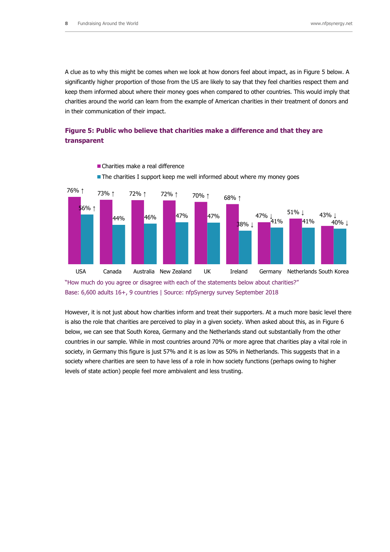A clue as to why this might be comes when we look at how donors feel about impact, as in Figure 5 below. A significantly higher proportion of those from the US are likely to say that they feel charities respect them and keep them informed about where their money goes when compared to other countries. This would imply that charities around the world can learn from the example of American charities in their treatment of donors and in their communication of their impact.

#### **Figure 5: Public who believe that charities make a difference and that they are transparent**



Charities make a real difference

The charities I support keep me well informed about where my money goes

"How much do you agree or disagree with each of the statements below about charities?" Base: 6,600 adults 16+, 9 countries | Source: nfpSynergy survey September 2018

However, it is not just about how charities inform and treat their supporters. At a much more basic level there is also the role that charities are perceived to play in a given society. When asked about this, as in Figure 6 below, we can see that South Korea, Germany and the Netherlands stand out substantially from the other countries in our sample. While in most countries around 70% or more agree that charities play a vital role in society, in Germany this figure is just 57% and it is as low as 50% in Netherlands. This suggests that in a society where charities are seen to have less of a role in how society functions (perhaps owing to higher levels of state action) people feel more ambivalent and less trusting.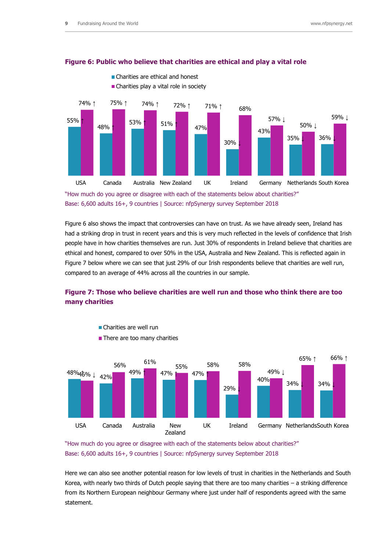

#### **Figure 6: Public who believe that charities are ethical and play a vital role**

"How much do you agree or disagree with each of the statements below about charities?" Base: 6,600 adults 16+, 9 countries | Source: nfpSynergy survey September 2018

Figure 6 also shows the impact that controversies can have on trust. As we have already seen, Ireland has had a striking drop in trust in recent years and this is very much reflected in the levels of confidence that Irish people have in how charities themselves are run. Just 30% of respondents in Ireland believe that charities are ethical and honest, compared to over 50% in the USA, Australia and New Zealand. This is reflected again in Figure 7 below where we can see that just 29% of our Irish respondents believe that charities are well run, compared to an average of 44% across all the countries in our sample.

## **Figure 7: Those who believe charities are well run and those who think there are too many charities**





Charities are well run

**There are too many charities** 

"How much do you agree or disagree with each of the statements below about charities?" Base: 6,600 adults 16+, 9 countries | Source: nfpSynergy survey September 2018

Here we can also see another potential reason for low levels of trust in charities in the Netherlands and South Korea, with nearly two thirds of Dutch people saying that there are too many charities – a striking difference from its Northern European neighbour Germany where just under half of respondents agreed with the same statement.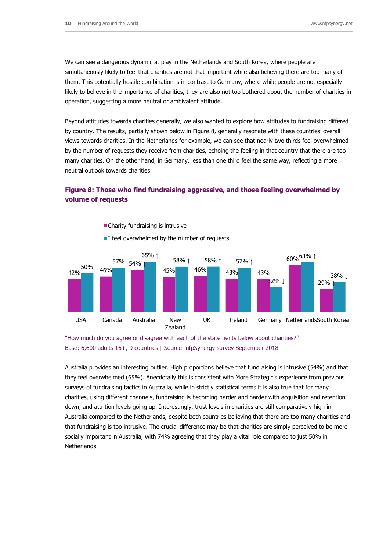We can see a dangerous dynamic at play in the Netherlands and South Korea, where people are simultaneously likely to feel that charities are not that important while also believing there are too many of them. This potentially hostile combination is in contrast to Germany, where while people are not especially likely to believe in the importance of charities, they are also not too bothered about the number of charities in operation, suggesting a more neutral or ambivalent attitude.

Beyond attitudes towards charities generally, we also wanted to explore how attitudes to fundraising differed by country. The results, partially shown below in Figure 8, generally resonate with these countries' overall views towards charities. In the Netherlands for example, we can see that nearly two thirds feel overwhelmed by the number of requests they receive from charities, echoing the feeling in that country that there are too many charities. On the other hand, in Germany, less than one third feel the same way, reflecting a more neutral outlook towards charities.

### **Figure 8: Those who find fundraising aggressive, and those feeling overwhelmed by volume of requests**



"How much do you agree or disagree with each of the statements below about charities?"

Base: 6,600 adults 16+, 9 countries | Source: nfpSynergy survey September 2018

Australia provides an interesting outlier. High proportions believe that fundraising is intrusive (54%) and that they feel overwhelmed (65%). Anecdotally this is consistent with More Strategic's experience from previous surveys of fundraising tactics in Australia, while in strictly statistical terms it is also true that for many charities, using different channels, fundraising is becoming harder and harder with acquisition and retention down, and attrition levels going up. Interestingly, trust levels in charities are still comparatively high in Australia compared to the Netherlands, despite both countries believing that there are too many charities and that fundraising is too intrusive. The crucial difference may be that charities are simply perceived to be more socially important in Australia, with 74% agreeing that they play a vital role compared to just 50% in Netherlands.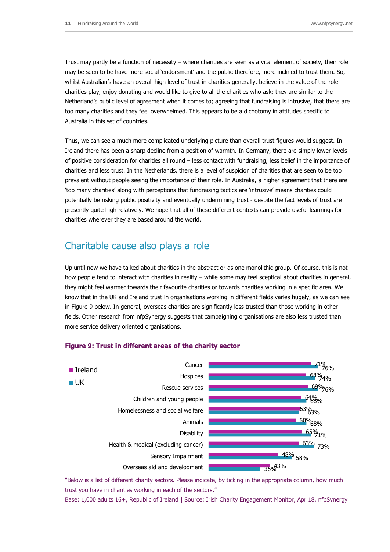Trust may partly be a function of necessity – where charities are seen as a vital element of society, their role may be seen to be have more social 'endorsment' and the public therefore, more inclined to trust them. So, whilst Australian's have an overall high level of trust in charities generally, believe in the value of the role charities play, enjoy donating and would like to give to all the charities who ask; they are similar to the Netherland's public level of agreement when it comes to; agreeing that fundraising is intrusive, that there are too many charities and they feel overwhelmed. This appears to be a dichotomy in attitudes specific to Australia in this set of countries.

Thus, we can see a much more complicated underlying picture than overall trust figures would suggest. In Ireland there has been a sharp decline from a position of warmth. In Germany, there are simply lower levels of positive consideration for charities all round – less contact with fundraising, less belief in the importance of charities and less trust. In the Netherlands, there is a level of suspicion of charities that are seen to be too prevalent without people seeing the importance of their role. In Australia, a higher agreement that there are 'too many charities' along with perceptions that fundraising tactics are 'intrusive' means charities could potentially be risking public positivity and eventually undermining trust - despite the fact levels of trust are presently quite high relatively. We hope that all of these different contexts can provide useful learnings for charities wherever they are based around the world.

# Charitable cause also plays a role

Up until now we have talked about charities in the abstract or as one monolithic group. Of course, this is not how people tend to interact with charities in reality – while some may feel sceptical about charities in general, they might feel warmer towards their favourite charities or towards charities working in a specific area. We know that in the UK and Ireland trust in organisations working in different fields varies hugely, as we can see in Figure 9 below. In general, overseas charities are significantly less trusted than those working in other fields. Other research from nfpSynergy suggests that campaigning organisations are also less trusted than more service delivery oriented organisations.



#### **Figure 9: Trust in different areas of the charity sector**

"Below is a list of different charity sectors. Please indicate, by ticking in the appropriate column, how much trust you have in charities working in each of the sectors."

Base: 1,000 adults 16+, Republic of Ireland | Source: Irish Charity Engagement Monitor, Apr 18, nfpSynergy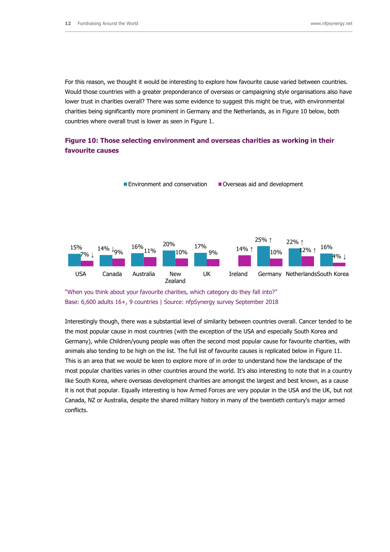For this reason, we thought it would be interesting to explore how favourite cause varied between countries. Would those countries with a greater preponderance of overseas or campaigning style organisations also have lower trust in charities overall? There was some evidence to suggest this might be true, with environmental charities being significantly more prominent in Germany and the Netherlands, as in Figure 10 below, both countries where overall trust is lower as seen in Figure 1.

### **Figure 10: Those selecting environment and overseas charities as working in their favourite causes**



<sup>&</sup>quot;When you think about your favourite charities, which category do they fall into?" Base: 6,600 adults 16+, 9 countries | Source: nfpSynergy survey September 2018

Interestingly though, there was a substantial level of similarity between countries overall. Cancer tended to be the most popular cause in most countries (with the exception of the USA and especially South Korea and Germany), while Children/young people was often the second most popular cause for favourite charities, with animals also tending to be high on the list. The full list of favourite causes is replicated below in Figure 11. This is an area that we would be keen to explore more of in order to understand how the landscape of the most popular charities varies in other countries around the world. It's also interesting to note that in a country like South Korea, where overseas development charities are amongst the largest and best known, as a cause it is not that popular. Equally interesting is how Armed Forces are very popular in the USA and the UK, but not Canada, NZ or Australia, despite the shared military history in many of the twentieth century's major armed conflicts.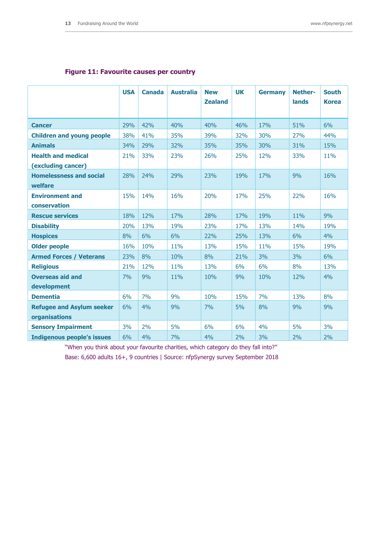### **Figure 11: Favourite causes per country**

|                                                   | <b>USA</b> | <b>Canada</b> | <b>Australia</b> | <b>New</b><br><b>Zealand</b> | <b>UK</b> | <b>Germany</b> | <b>Nether-</b><br>lands | <b>South</b><br><b>Korea</b> |
|---------------------------------------------------|------------|---------------|------------------|------------------------------|-----------|----------------|-------------------------|------------------------------|
| <b>Cancer</b>                                     | 29%        | 42%           | 40%              | 40%                          | 46%       | 17%            | 51%                     | 6%                           |
| <b>Children and young people</b>                  | 38%        | 41%           | 35%              | 39%                          | 32%       | 30%            | 27%                     | 44%                          |
| <b>Animals</b>                                    | 34%        | 29%           | 32%              | 35%                          | 35%       | 30%            | 31%                     | 15%                          |
| <b>Health and medical</b><br>(excluding cancer)   | 21%        | 33%           | 23%              | 26%                          | 25%       | 12%            | 33%                     | 11%                          |
| <b>Homelessness and social</b><br>welfare         | 28%        | 24%           | 29%              | 23%                          | 19%       | 17%            | 9%                      | 16%                          |
| <b>Environment and</b><br>conservation            | 15%        | 14%           | 16%              | 20%                          | 17%       | 25%            | 22%                     | 16%                          |
| <b>Rescue services</b>                            | 18%        | 12%           | 17%              | 28%                          | 17%       | 19%            | 11%                     | 9%                           |
| <b>Disability</b>                                 | 20%        | 13%           | 19%              | 23%                          | 17%       | 13%            | 14%                     | 19%                          |
| <b>Hospices</b>                                   | 8%         | 6%            | 6%               | 22%                          | 25%       | 13%            | 6%                      | 4%                           |
| <b>Older people</b>                               | 16%        | 10%           | 11%              | 13%                          | 15%       | 11%            | 15%                     | 19%                          |
| <b>Armed Forces / Veterans</b>                    | 23%        | 8%            | 10%              | 8%                           | 21%       | 3%             | 3%                      | 6%                           |
| <b>Religious</b>                                  | 21%        | 12%           | 11%              | 13%                          | 6%        | 6%             | 8%                      | 13%                          |
| <b>Overseas aid and</b><br>development            | 7%         | 9%            | 11%              | 10%                          | 9%        | 10%            | 12%                     | 4%                           |
| <b>Dementia</b>                                   | 6%         | 7%            | 9%               | 10%                          | 15%       | 7%             | 13%                     | 8%                           |
| <b>Refugee and Asylum seeker</b><br>organisations | 6%         | 4%            | 9%               | 7%                           | 5%        | 8%             | 9%                      | 9%                           |
| <b>Sensory Impairment</b>                         | 3%         | 2%            | 5%               | 6%                           | 6%        | 4%             | 5%                      | 3%                           |
| <b>Indigenous people's issues</b>                 | 6%         | 4%            | 7%               | 4%                           | 2%        | 3%             | 2%                      | 2%                           |

"When you think about your favourite charities, which category do they fall into?"

Base: 6,600 adults 16+, 9 countries | Source: nfpSynergy survey September 2018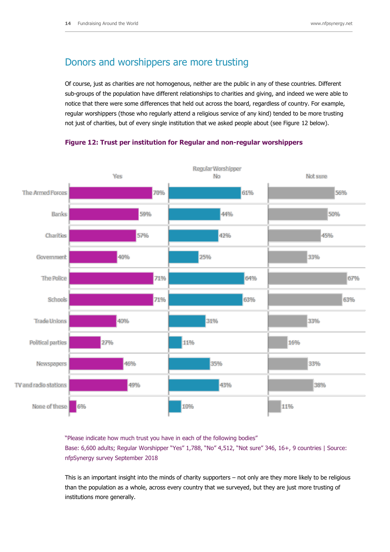## Donors and worshippers are more trusting

Of course, just as charities are not homogenous, neither are the public in any of these countries. Different sub-groups of the population have different relationships to charities and giving, and indeed we were able to notice that there were some differences that held out across the board, regardless of country. For example, regular worshippers (those who regularly attend a religious service of any kind) tended to be more trusting not just of charities, but of every single institution that we asked people about (see Figure 12 below).

#### **Figure 12: Trust per institution for Regular and non-regular worshippers**



"Please indicate how much trust you have in each of the following bodies" Base: 6,600 adults; Regular Worshipper "Yes" 1,788, "No" 4,512, "Not sure" 346, 16+, 9 countries | Source: nfpSynergy survey September 2018

This is an important insight into the minds of charity supporters – not only are they more likely to be religious than the population as a whole, across every country that we surveyed, but they are just more trusting of institutions more generally.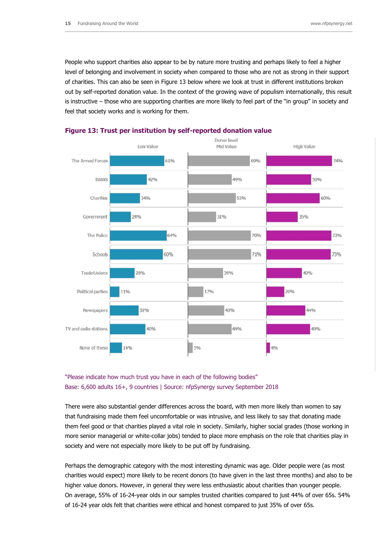People who support charities also appear to be by nature more trusting and perhaps likely to feel a higher level of belonging and involvement in society when compared to those who are not as strong in their support of charities. This can also be seen in Figure 13 below where we look at trust in different institutions broken out by self-reported donation value. In the context of the growing wave of populism internationally, this result is instructive – those who are supporting charities are more likely to feel part of the "in group" in society and feel that society works and is working for them.



#### **Figure 13: Trust per institution by self-reported donation value**

## "Please indicate how much trust you have in each of the following bodies" Base: 6,600 adults 16+, 9 countries | Source: nfpSynergy survey September 2018

There were also substantial gender differences across the board, with men more likely than women to say that fundraising made them feel uncomfortable or was intrusive, and less likely to say that donating made them feel good or that charities played a vital role in society. Similarly, higher social grades (those working in more senior managerial or white-collar jobs) tended to place more emphasis on the role that charities play in society and were not especially more likely to be put off by fundraising.

Perhaps the demographic category with the most interesting dynamic was age. Older people were (as most charities would expect) more likely to be recent donors (to have given in the last three months) and also to be higher value donors. However, in general they were less enthusiastic about charities than younger people. On average, 55% of 16-24-year olds in our samples trusted charities compared to just 44% of over 65s. 54% of 16-24 year olds felt that charities were ethical and honest compared to just 35% of over 65s.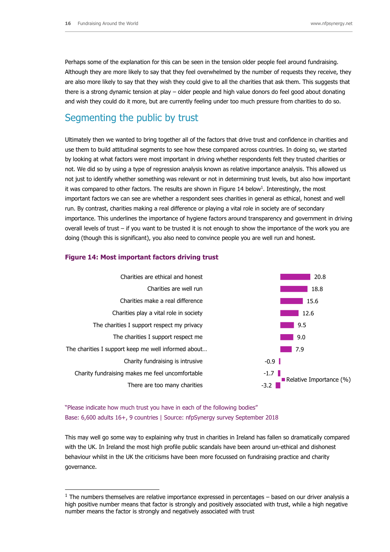Perhaps some of the explanation for this can be seen in the tension older people feel around fundraising. Although they are more likely to say that they feel overwhelmed by the number of requests they receive, they are also more likely to say that they wish they could give to all the charities that ask them. This suggests that there is a strong dynamic tension at play – older people and high value donors do feel good about donating and wish they could do it more, but are currently feeling under too much pressure from charities to do so.

# Segmenting the public by trust

Ultimately then we wanted to bring together all of the factors that drive trust and confidence in charities and use them to build attitudinal segments to see how these compared across countries. In doing so, we started by looking at what factors were most important in driving whether respondents felt they trusted charities or not. We did so by using a type of regression analysis known as relative importance analysis. This allowed us not just to identify whether something was relevant or not in determining trust levels, but also how important it was compared to other factors. The results are shown in Figure 14 below<sup>1</sup>. Interestingly, the most important factors we can see are whether a respondent sees charities in general as ethical, honest and well run. By contrast, charities making a real difference or playing a vital role in society are of secondary importance. This underlines the importance of hygiene factors around transparency and government in driving overall levels of trust – if you want to be trusted it is not enough to show the importance of the work you are doing (though this is significant), you also need to convince people you are well run and honest.



#### **Figure 14: Most important factors driving trust**

"Please indicate how much trust you have in each of the following bodies" Base: 6,600 adults 16+, 9 countries | Source: nfpSynergy survey September 2018

-

This may well go some way to explaining why trust in charities in Ireland has fallen so dramatically compared with the UK. In Ireland the most high profile public scandals have been around un-ethical and dishonest behaviour whilst in the UK the criticisms have been more focussed on fundraising practice and charity governance.

 $<sup>1</sup>$  The numbers themselves are relative importance expressed in percentages – based on our driver analysis a</sup> high positive number means that factor is strongly and positively associated with trust, while a high negative number means the factor is strongly and negatively associated with trust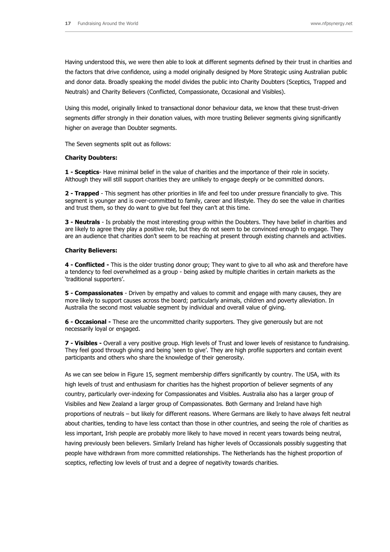Having understood this, we were then able to look at different segments defined by their trust in charities and the factors that drive confidence, using a model originally designed by More Strategic using Australian public and donor data. Broadly speaking the model divides the public into Charity Doubters (Sceptics, Trapped and Neutrals) and Charity Believers (Conflicted, Compassionate, Occasional and Visibles).

Using this model, originally linked to transactional donor behaviour data, we know that these trust-driven segments differ strongly in their donation values, with more trusting Believer segments giving significantly higher on average than Doubter segments.

The Seven segments split out as follows:

#### **Charity Doubters:**

**1 - Sceptics**- Have minimal belief in the value of charities and the importance of their role in society. Although they will still support charities they are unlikely to engage deeply or be committed donors.

**2 - Trapped** - This segment has other priorities in life and feel too under pressure financially to give. This segment is younger and is over-committed to family, career and lifestyle. They do see the value in charities and trust them, so they do want to give but feel they can't at this time.

**3 - Neutrals** - Is probably the most interesting group within the Doubters. They have belief in charities and are likely to agree they play a positive role, but they do not seem to be convinced enough to engage. They are an audience that charities don't seem to be reaching at present through existing channels and activities.

#### **Charity Believers:**

**4 - Conflicted -** This is the older trusting donor group; They want to give to all who ask and therefore have a tendency to feel overwhelmed as a group - being asked by multiple charities in certain markets as the 'traditional supporters'.

**5 - Compassionates** - Driven by empathy and values to commit and engage with many causes, they are more likely to support causes across the board; particularly animals, children and poverty alleviation. In Australia the second most valuable segment by individual and overall value of giving.

**6 - Occasional -** These are the uncommitted charity supporters. They give generously but are not necessarily loyal or engaged.

**7 - Visibles -** Overall a very positive group. High levels of Trust and lower levels of resistance to fundraising. They feel good through giving and being 'seen to give'. They are high profile supporters and contain event participants and others who share the knowledge of their generosity.

As we can see below in Figure 15, segment membership differs significantly by country. The USA, with its high levels of trust and enthusiasm for charities has the highest proportion of believer segments of any country, particularly over-indexing for Compassionates and Visibles. Australia also has a larger group of Visibiles and New Zealand a larger group of Compassionates. Both Germany and Ireland have high proportions of neutrals – but likely for different reasons. Where Germans are likely to have always felt neutral about charities, tending to have less contact than those in other countries, and seeing the role of charities as less important, Irish people are probably more likely to have moved in recent years towards being neutral, having previously been believers. Similarly Ireland has higher levels of Occassionals possibly suggesting that people have withdrawn from more committed relationships. The Netherlands has the highest proportion of sceptics, reflecting low levels of trust and a degree of negativity towards charities.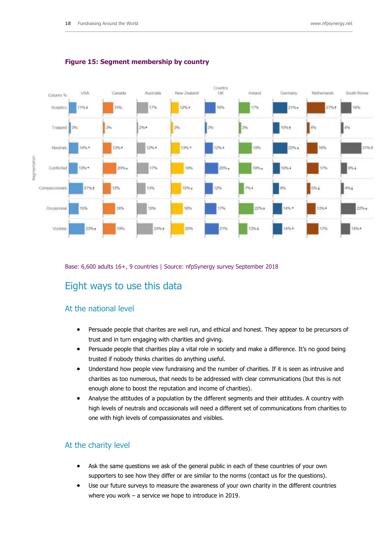

#### **Figure 15: Segment membership by country**

Base: 6,600 adults 16+, 9 countries | Source: nfpSynergy survey September 2018

# Eight ways to use this data

## At the national level

- Persuade people that charites are well run, and ethical and honest. They appear to be precursors of trust and in turn engaging with charities and giving.
- Persuade people that charities play a vital role in society and make a difference. It's no good being trusted if nobody thinks charities do anything useful.
- Understand how people view fundraising and the number of charities. If it is seen as intrusive and charities as too numerous, that needs to be addressed with clear communications (but this is not enough alone to boost the reputation and income of charities).
- Analyse the attitudes of a population by the different segments and their attitudes. A country with high levels of neutrals and occasionals will need a different set of communications from charities to one with high levels of compassionates and visibles.

### At the charity level

- Ask the same questions we ask of the general public in each of these countries of your own supporters to see how they differ or are similar to the norms (contact us for the questions).
- Use our future surveys to measure the awareness of your own charity in the different countries where you work – a service we hope to introduce in 2019.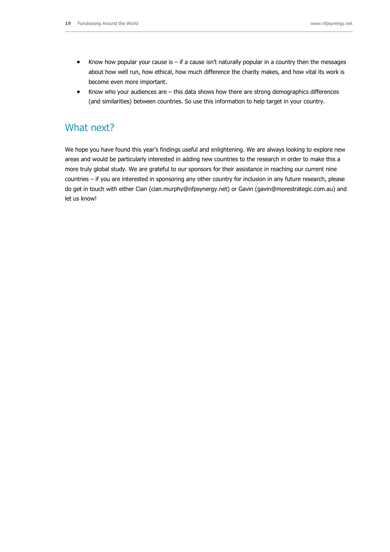- Know how popular your cause is if a cause isn't naturally popular in a country then the messages about how well run, how ethical, how much difference the charity makes, and how vital its work is become even more important.
- Know who your audiences are this data shows how there are strong demographics differences (and similarities) between countries. So use this information to help target in your country.

## What next?

We hope you have found this year's findings useful and enlightening. We are always looking to explore new areas and would be particularly interested in adding new countries to the research in order to make this a more truly global study. We are grateful to our sponsors for their assistance in reaching our current nine countries – if you are interested in sponsoring any other country for inclusion in any future research, please do get in touch with either Cian [\(cian.murphy@nfpsynergy.net\)](mailto:cian.murphy@nfpsynergy.net) or Gavin [\(gavin@morestrategic.com.au\)](mailto:gavin@morestrategic.com.au) and let us know!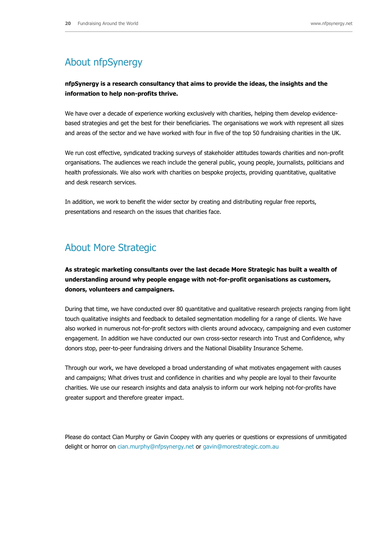# About nfpSynergy

### **nfpSynergy is a research consultancy that aims to provide the ideas, the insights and the information to help non-profits thrive.**

We have over a decade of experience working exclusively with charities, helping them develop evidencebased strategies and get the best for their beneficiaries. The organisations we work with represent all sizes and areas of the sector and we have worked with four in five of the top 50 fundraising charities in the UK.

We run cost effective, syndicated tracking surveys of stakeholder attitudes towards charities and non-profit organisations. The audiences we reach include the general public, young people, journalists, politicians and health professionals. We also work with charities on bespoke projects, providing quantitative, qualitative and desk research services.

In addition, we work to benefit the wider sector by creating and distributing regular free reports, presentations and research on the issues that charities face.

## About More Strategic

**As strategic marketing consultants over the last decade More Strategic has built a wealth of understanding around why people engage with not-for-profit organisations as customers, donors, volunteers and campaigners.** 

During that time, we have conducted over 80 quantitative and qualitative research projects ranging from light touch qualitative insights and feedback to detailed segmentation modelling for a range of clients. We have also worked in numerous not-for-profit sectors with clients around advocacy, campaigning and even customer engagement. In addition we have conducted our own cross-sector research into Trust and Confidence, why donors stop, peer-to-peer fundraising drivers and the National Disability Insurance Scheme.

Through our work, we have developed a broad understanding of what motivates engagement with causes and campaigns; What drives trust and confidence in charities and why people are loyal to their favourite charities. We use our research insights and data analysis to inform our work helping not-for-profits have greater support and therefore greater impact.

Please do contact Cian Murphy or Gavin Coopey with any queries or questions or expressions of unmitigated delight or horror on [cian.murphy@nfpsynergy.net](mailto:cian.murphy@nfpsynergy.net) or [gavin@morestrategic.com.au](mailto:gavin@morestrategic.com.au)